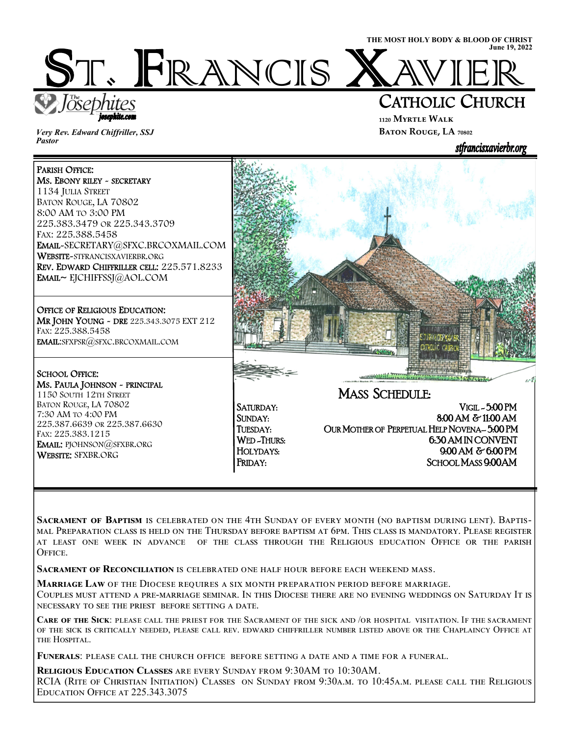ST. FRANCIS I



iosephite.com

*Very Rev. Edward Chiffriller, SSJ Pastor* 

# CATHOLIC CHURCH

**₁₁₂₀ Myrtle Walk BATON ROUGE, LA 70802** 



 $1 - 7$ 

#### PARISH OFFICE: Ms. EBONY RILEY ~ SECRETARY 1134 JULIA STREET BATON ROUGE, LA 70802 8:00 AM TO 3:00 PM 225.383.3479 OR 225.343.3709 FAX: 225.388.5458 EMAIL-SECRETARY@SFXC.BRCOXMAIL.COM WEBSITE-STFRANCISXAVIERBR.ORG REV. EDWARD CHIFFRILLER CELL: 225.571.8233 EMAIL~ EJCHIFFSSJ@AOL.COM

 OFFICE OF RELIGIOUS EDUCATION: MR JOHN YOUNG - DRE 225.343.3075 EXT 212 FAX: 225.388.5458 EMAIL:SFXPSR@SFXC.BRCOXMAIL.COM L

## SCHOOL OFFICE:

í

MS. PAULA JOHNSON ~ PRINCIPAL 1150 SOUTH 12TH STREET BATON ROUGE, LA 70802 7:30 AM TO 4:00 PM 225.387.6639 OR 225.387.6630 FAX: 225.383.1215 EMAIL: PJOHNSON@SFXBR.ORG WEBSITE: SFXBR.ORG

SATURDAY: VIGIL - 5:00 PM SUNDAY: 8:00 AM & 11:00 AM<br>TUESDAY: OUR MOTHER OF PERPETUAL HELP NOVENA-5:00 PM OUR MOTHER OF PERPETUAL HELP NOVENA-5:00 PM WED-THURS: 6.30 AM IN CONVENT HOLYDAYS: 9:00 AM & 6:00 PM FRIDAY: SCHOOL MASS 9:00 AM

CATADIAC CONZO

MASS SCHEDULE:

SACRAMENT OF BAPTISM IS CELEBRATED ON THE 4TH SUNDAY OF EVERY MONTH (NO BAPTISM DURING LENT). BAPTIS-MAL PREPARATION CLASS IS HELD ON THE THURSDAY BEFORE BAPTISM AT 6PM. THIS CLASS IS MANDATORY. PLEASE REGISTER AT LEAST ONE WEEK IN ADVANCE OF THE CLASS THROUGH THE RELIGIOUS EDUCATION OFFICE OR THE PARISH OFFICE.

**SACRAMENT OF RECONCILIATION IS CELEBRATED ONE HALF HOUR BEFORE EACH WEEKEND MASS.** 

**MARRIAGE LAW OF THE DIOCESE REQUIRES A SIX MONTH PREPARATION PERIOD BEFORE MARRIAGE.** 

COUPLES MUST ATTEND A PRE-MARRIAGE SEMINAR. IN THIS DIOCESE THERE ARE NO EVENING WEDDINGS ON SATURDAY IT IS NECESSARY TO SEE THE PRIEST BEFORE SETTING A DATE.

**CARE OF THE SICK: PLEASE** CALL THE PRIEST FOR THE SACRAMENT OF THE SICK AND /OR HOSPITAL VISITATION. IF THE SACRAMENT OF THE SICK IS CRITICALLY NEEDED, PLEASE CALL REV. EDWARD CHIFFRILLER NUMBER LISTED ABOVE OR THE CHAPLAINCY OFFICE AT THE HOSPITAL.

FUNERALS: PLEASE CALL THE CHURCH OFFICE BEFORE SETTING A DATE AND A TIME FOR A FUNERAL.

**RELIGIOUS EDUCATION CLASSES** ARE EVERY SUNDAY FROM 9:30AM TO 10:30AM. RCIA (RITE OF CHRISTIAN INITIATION) CLASSES ON SUNDAY FROM 9:30A.M. TO 10:45A.M. PLEASE CALL THE RELIGIOUS EDUCATION OFFICE AT 225.343.3075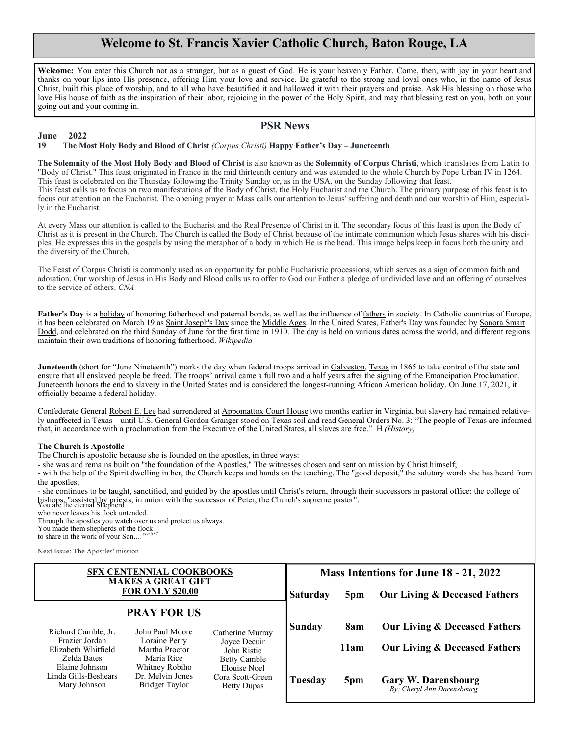### **Welcome to St. Francis Xavier Catholic Church, Baton Rouge, LA**

**Welcome:** You enter this Church not as a stranger, but as a guest of God. He is your heavenly Father. Come, then, with joy in your heart and thanks on your lips into His presence, offering Him your love and service. Be grateful to the strong and loyal ones who, in the name of Jesus Christ, built this place of worship, and to all who have beautified it and hallowed it with their prayers and praise. Ask His blessing on those who love His house of faith as the inspiration of their labor, rejoicing in the power of the Holy Spirit, and may that blessing rest on you, both on your going out and your coming in.

#### **PSR News**

#### **June 2022 19 The Most Holy Body and Blood of Christ** *(Corpus Christi)* **Happy Father's Day – Juneteenth**

**The Solemnity of the Most Holy Body and Blood of Christ** is also known as the **Solemnity of Corpus Christi**, which translates from Latin to "Body of Christ." This feast originated in France in the mid thirteenth century and was extended to the whole Church by Pope Urban IV in 1264. This feast is celebrated on the Thursday following the Trinity Sunday or, as in the USA, on the Sunday following that feast. This feast calls us to focus on two manifestations of the Body of Christ, the Holy Eucharist and the Church. The primary purpose of this feast is to focus our attention on the Eucharist. The opening prayer at Mass calls our attention to Jesus' suffering and death and our worship of Him, especially in the Eucharist.

At every Mass our attention is called to the Eucharist and the Real Presence of Christ in it. The secondary focus of this feast is upon the Body of Christ as it is present in the Church. The Church is called the Body of Christ because of the intimate communion which Jesus shares with his disciples. He expresses this in the gospels by using the metaphor of a body in which He is the head. This image helps keep in focus both the unity and the diversity of the Church.

The Feast of Corpus Christi is commonly used as an opportunity for public Eucharistic processions, which serves as a sign of common faith and adoration. Our worship of Jesus in His Body and Blood calls us to offer to God our Father a pledge of undivided love and an offering of ourselves to the service of others. *CNA*

**Father's Day** is a holiday of honoring fatherhood and paternal bonds, as well as the influence of fathers in society. In Catholic countries of Europe, it has been celebrated on March 19 as Saint Joseph's Day since the Middle Ages. In the United States, Father's Day was founded by Sonora Smart Dodd, and celebrated on the third Sunday of June for the first time in 1910. The day is held on various dates across the world, and different regions maintain their own traditions of honoring fatherhood. *Wikipedia*

**Juneteenth** (short for "June Nineteenth") marks the day when federal troops arrived in Galveston, Texas in 1865 to take control of the state and ensure that all enslaved people be freed. The troops' arrival came a full two and a half years after the signing of the Emancipation Proclamation. Juneteenth honors the end to slavery in the United States and is considered the longest-running African American holiday. On June 17, 2021, it officially became a federal holiday.

Confederate General Robert E. Lee had surrendered at Appomattox Court House two months earlier in Virginia, but slavery had remained relatively unaffected in Texas—until U.S. General Gordon Granger stood on Texas soil and read General Orders No. 3: "The people of Texas are informed that, in accordance with a proclamation from the Executive of the United States, all slaves are free." H *(History)*

#### **The Church is Apostolic**

The Church is apostolic because she is founded on the apostles, in three ways:

- she was and remains built on "the foundation of the Apostles," The witnesses chosen and sent on mission by Christ himself;

- with the help of the Spirit dwelling in her, the Church keeps and hands on the teaching, The "good deposit," the salutary words she has heard from the apostles;

- she continues to be taught, sanctified, and guided by the apostles until Christ's return, through their successors in pastoral office: the college of bishops, "assisted by priests, in union with the successor of Peter, the Church's supreme pastor": You are the eternal Shepherd

who never leaves his flock untended.

Through the apostles you watch over us and protect us always. You made them shepherds of the flock to share in the work of your Son.... *ccc 837*

Next Issue: The Apostles' mission

| <b>SFX CENTENNIAL COOKBOOKS</b><br><b>MAKES A GREAT GIFT</b><br><b>FOR ONLY \$20.00</b> |                                                      |                                                        | Mass Intentions for June 18 - 21, 2022 |                 |                                                          |
|-----------------------------------------------------------------------------------------|------------------------------------------------------|--------------------------------------------------------|----------------------------------------|-----------------|----------------------------------------------------------|
|                                                                                         |                                                      |                                                        | <b>Saturday</b>                        | 5 <sub>pm</sub> | <b>Our Living &amp; Deceased Fathers</b>                 |
| <b>PRAY FOR US</b>                                                                      |                                                      |                                                        |                                        |                 |                                                          |
| Richard Camble, Jr.                                                                     | John Paul Moore                                      | Catherine Murray                                       | Sunday                                 | 8am             | <b>Our Living &amp; Deceased Fathers</b>                 |
| Frazier Jordan<br>Elizabeth Whitfield<br>Zelda Bates                                    | Loraine Perry<br>Martha Proctor<br>Maria Rice        | Joyce Decuir<br>John Ristic<br><b>Betty Camble</b>     |                                        | 11am            | <b>Our Living &amp; Deceased Fathers</b>                 |
| Elaine Johnson<br>Linda Gills-Beshears<br>Mary Johnson                                  | Whitney Robiho<br>Dr. Melvin Jones<br>Bridget Taylor | Elouise Noel<br>Cora Scott-Green<br><b>Betty Dupas</b> | Tuesday                                | 5pm             | <b>Gary W. Darensbourg</b><br>By: Cheryl Ann Darensbourg |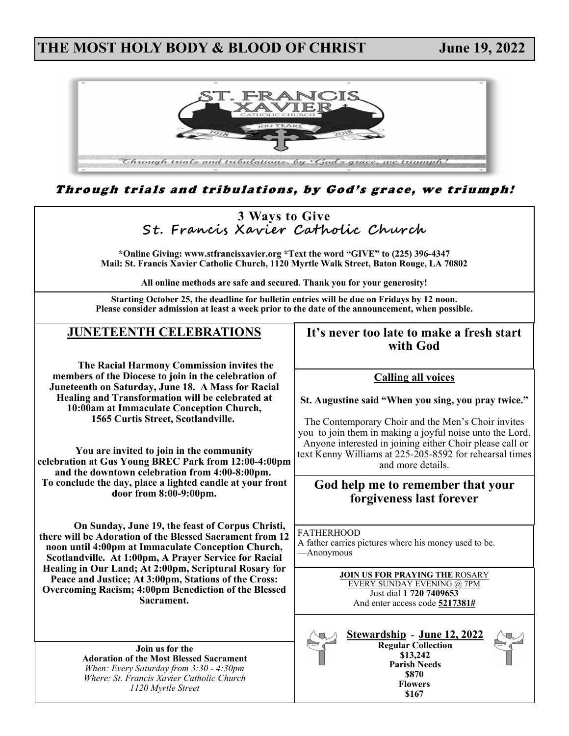## **THE MOST HOLY BODY & BLOOD OF CHRIST June 19, 2022**



Through trials and tribulations, by God's grace, we triumph!